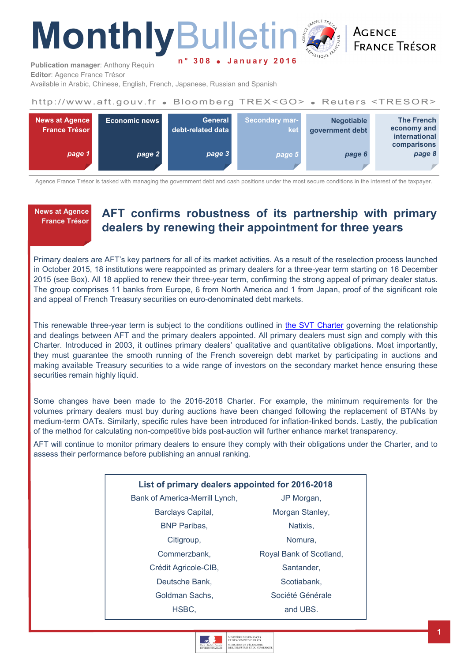# **Monthly**Bulletin **n ° 3 0 8 J a n u a r y 2 0 1 6**

**ACENCE FRANCE TRÉSOR** 

**Publication manager**: Anthony Requin **Editor**: Agence France Trésor

Available in Arabic, Chinese, English, French, Japanese, Russian and Spanish

### http://www.aft.gouv.fr . Bloomberg TREX<GO> . Reuters <TRESOR>



Agence France Trésor is tasked with managing the government debt and cash positions under the most secure conditions in the interest of the taxpayer.

**News at Agence France Trésor** 

# **AFT confirms robustness of its partnership with primary dealers by renewing their appointment for three years**

Primary dealers are AFT's key partners for all of its market activities. As a result of the reselection process launched in October 2015, 18 institutions were reappointed as primary dealers for a three-year term starting on 16 December 2015 (see Box). All 18 applied to renew their three-year term, confirming the strong appeal of primary dealer status. The group comprises 11 banks from Europe, 6 from North America and 1 from Japan, proof of the significant role and appeal of French Treasury securities on euro-denominated debt markets.

This renewable three-year term is subject to the conditions outlined in [the SVT Charter](http://www.aft.gouv.fr/rubriques/les-svt_83_lng2.html) governing the relationship and dealings between AFT and the primary dealers appointed. All primary dealers must sign and comply with this Charter. Introduced in 2003, it outlines primary dealers' qualitative and quantitative obligations. Most importantly, they must guarantee the smooth running of the French sovereign debt market by participating in auctions and making available Treasury securities to a wide range of investors on the secondary market hence ensuring these securities remain highly liquid.

Some changes have been made to the 2016-2018 Charter. For example, the minimum requirements for the volumes primary dealers must buy during auctions have been changed following the replacement of BTANs by medium-term OATs. Similarly, specific rules have been introduced for inflation-linked bonds. Lastly, the publication of the method for calculating non-competitive bids post-auction will further enhance market transparency.

AFT will continue to monitor primary dealers to ensure they comply with their obligations under the Charter, and to assess their performance before publishing an annual ranking.

| List of primary dealers appointed for 2016-2018 |                         |  |  |  |  |
|-------------------------------------------------|-------------------------|--|--|--|--|
| Bank of America-Merrill Lynch,                  | JP Morgan,              |  |  |  |  |
| Barclays Capital,                               | Morgan Stanley,         |  |  |  |  |
| <b>BNP Paribas,</b>                             | Natixis,                |  |  |  |  |
| Citigroup,                                      | Nomura.                 |  |  |  |  |
| Commerzbank,                                    | Royal Bank of Scotland, |  |  |  |  |
| Crédit Agricole-CIB,                            | Santander.              |  |  |  |  |
| Deutsche Bank,                                  | Scotiabank.             |  |  |  |  |
| Goldman Sachs,                                  | Société Générale        |  |  |  |  |
| HSBC.                                           | and UBS.                |  |  |  |  |
|                                                 |                         |  |  |  |  |

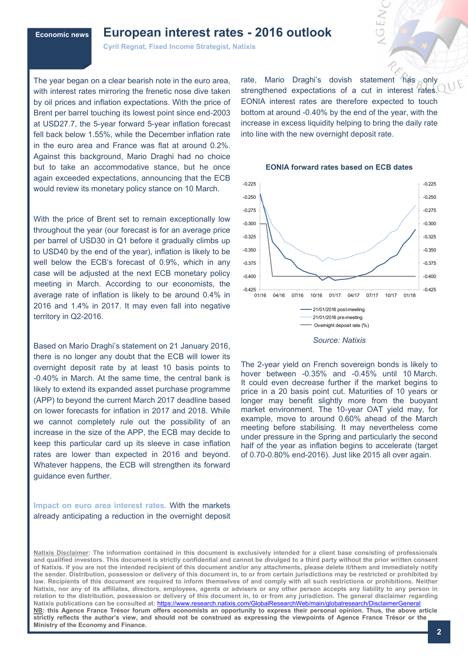### **Economic news European interest rates - 2016 outlook**

**Cyril Regnat, Fixed Income Strategist, Natixis** 

The year began on a clear bearish note in the euro area, with interest rates mirroring the frenetic nose dive taken by oil prices and inflation expectations. With the price of Brent per barrel touching its lowest point since end-2003 at USD27.7, the 5-year forward 5-year inflation forecast fell back below 1.55%, while the December inflation rate in the euro area and France was flat at around 0.2%. Against this background, Mario Draghi had no choice but to take an accommodative stance, but he once again exceeded expectations, announcing that the ECB would review its monetary policy stance on 10 March.

With the price of Brent set to remain exceptionally low throughout the year (our forecast is for an average price per barrel of USD30 in Q1 before it gradually climbs up to USD40 by the end of the year), inflation is likely to be well below the ECB's forecast of 0.9%, which in any case will be adjusted at the next ECB monetary policy meeting in March. According to our economists, the average rate of inflation is likely to be around 0.4% in 2016 and 1.4% in 2017. It may even fall into negative territory in Q2-2016.

Based on Mario Draghi's statement on 21 January 2016, there is no longer any doubt that the ECB will lower its overnight deposit rate by at least 10 basis points to -0.40% in March. At the same time, the central bank is likely to extend its expanded asset purchase programme (APP) to beyond the current March 2017 deadline based on lower forecasts for inflation in 2017 and 2018. While we cannot completely rule out the possibility of an increase in the size of the APP, the ECB may decide to keep this particular card up its sleeve in case inflation rates are lower than expected in 2016 and beyond. Whatever happens, the ECB will strengthen its forward guidance even further.

### **Impact on euro area interest rates.** With the markets already anticipating a reduction in the overnight deposit

rate, Mario Draghi's dovish statement has only strengthened expectations of a cut in interest rates. EONIA interest rates are therefore expected to touch bottom at around -0.40% by the end of the year, with the increase in excess liquidity helping to bring the daily rate into line with the new overnight deposit rate.



#### **EONIA forward rates based on ECB dates**

*Source: Natixis*

The 2-year yield on French sovereign bonds is likely to hover between -0.35% and -0.45% until 10 March. It could even decrease further if the market begins to price in a 20 basis point cut. Maturities of 10 years or longer may benefit slightly more from the buoyant market environment. The 10-year OAT yield may, for example, move to around 0.60% ahead of the March meeting before stabilising. It may nevertheless come under pressure in the Spring and particularly the second half of the year as inflation begins to accelerate (target of 0.70-0.80% end-2016). Just like 2015 all over again.

**Natixis Disclaimer: The information contained in this document is exclusively intended for a client base consisting of professionals and qualified investors. This document is strictly confidential and cannot be divulged to a third party without the prior written consent of Natixis. If you are not the intended recipient of this document and/or any attachments, please delete it/them and immediately notify the sender. Distribution, possession or delivery of this document in, to or from certain jurisdictions may be restricted or prohibited by law. Recipients of this document are required to inform themselves of and comply with all such restrictions or prohibitions. Neither Natixis, nor any of its affiliates, directors, employees, agents or advisers or any other person accepts any liability to any person in relation to the distribution, possession or delivery of this document in, to or from any jurisdiction. The general disclaimer regarding Natixis publications can be consulted at:** <https://www.research.natixis.com/GlobalResearchWeb/main/globalresearch/DisclaimerGeneral> **NB: this Agence France Trésor forum offers economists an opportunity to express their personal opinion. Thus, the above article strictly reflects the author's view, and should not be construed as expressing the viewpoints of Agence France Trésor or the Ministry of the Economy and Finance.**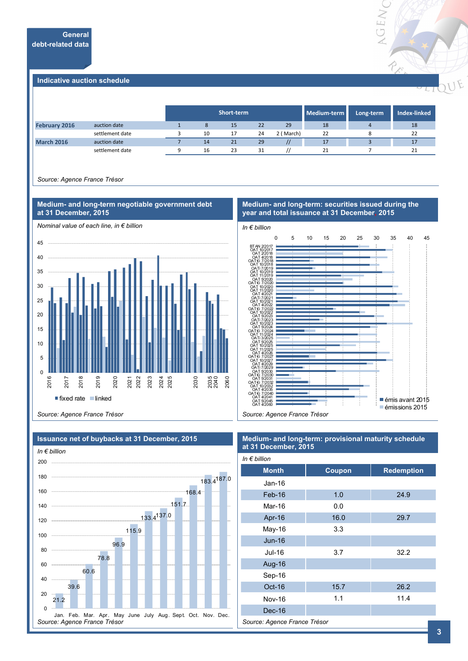

#### **Indicative auction schedule**

|                      |                 | Short-term<br>Medium-term |    |    |           |    | Long-term | <b>Index-linked</b> |
|----------------------|-----------------|---------------------------|----|----|-----------|----|-----------|---------------------|
| <b>February 2016</b> | auction date    | 8                         | 15 | 22 | 29        | 18 |           | 18                  |
|                      | settlement date | 10                        | 17 | 24 | 2 (March) | 22 |           | 22                  |
| <b>March 2016</b>    | auction date    | 14                        | 21 | 29 |           | 17 |           | 17                  |
|                      | settlement date | 16                        | 23 | 31 |           | 21 |           | 21                  |

*Source: Agence France Trésor*



#### **Medium- and long-term: securities issued during the year and total issuance at 31 December, 2015**



*Source: Agence France Trésor*



### **Medium- and long-term: provisional maturity schedule at 31 December, 2015**

| In $\epsilon$ billion        |        |                   |  |  |  |
|------------------------------|--------|-------------------|--|--|--|
| <b>Month</b>                 | Coupon | <b>Redemption</b> |  |  |  |
| Jan-16                       |        |                   |  |  |  |
| Feb-16                       | 1.0    | 24.9              |  |  |  |
| Mar-16                       | 0.0    |                   |  |  |  |
| Apr-16                       | 16.0   | 29.7              |  |  |  |
| May-16                       | 3.3    |                   |  |  |  |
| <b>Jun-16</b>                |        |                   |  |  |  |
| Jul-16                       | 3.7    | 32.2              |  |  |  |
| Aug-16                       |        |                   |  |  |  |
| Sep-16                       |        |                   |  |  |  |
| Oct-16                       | 15.7   | 26.2              |  |  |  |
| <b>Nov-16</b>                | 1.1    | 11.4              |  |  |  |
| Dec-16                       |        |                   |  |  |  |
| Source: Agence France Trésor |        |                   |  |  |  |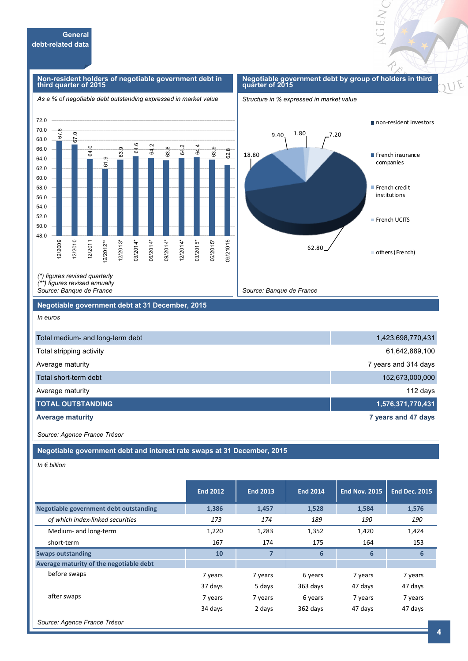#### **Non-resident holders of negotiable government debt in third quarter of 2015**

#### *As a % of negotiable debt outstanding expressed in market value*

#### **Negotiable government debt by group of holders in third quarter of 2015**

OEN

F







*(\*) figures revised quarterly (\*\*) figures revised annually Source: Banque de France*

**Negotiable government debt at 31 December, 2015**

#### *In euros*

| Total medium- and long-term debt | 1,423,698,770,431    |
|----------------------------------|----------------------|
| Total stripping activity         | 61,642,889,100       |
| Average maturity                 | 7 years and 314 days |
| Total short-term debt            | 152,673,000,000      |
| Average maturity                 | 112 days             |
| <b>TOTAL OUTSTANDING</b>         | 1,576,371,770,431    |
| <b>Average maturity</b>          | 7 years and 47 days  |

*Source: Agence France Trésor*

**Negotiable government debt and interest rate swaps at 31 December, 2015**

*In € billion*

|                                         | <b>End 2012</b> | <b>End 2013</b> | <b>End 2014</b> | <b>End Nov. 2015</b> | <b>End Dec. 2015</b> |
|-----------------------------------------|-----------------|-----------------|-----------------|----------------------|----------------------|
| Negotiable government debt outstanding  | 1,386           | 1,457           | 1,528           | 1,584                | 1,576                |
| of which index-linked securities        | 173             | 174             | 189             | 190                  | 190                  |
| Medium- and long-term                   | 1,220           | 1,283           | 1,352           | 1,420                | 1,424                |
| short-term                              | 167             | 174             | 175             | 164                  | 153                  |
| <b>Swaps outstanding</b>                | 10              | 7               | 6               | 6                    | 6                    |
| Average maturity of the negotiable debt |                 |                 |                 |                      |                      |
| before swaps                            | 7 years         | 7 years         | 6 years         | 7 years              | 7 years              |
|                                         | 37 days         | 5 days          | 363 days        | 47 days              | 47 days              |
| after swaps                             | 7 years         | 7 years         | 6 years         | 7 years              | 7 years              |
|                                         | 34 days         | 2 days          | 362 days        | 47 days              | 47 days              |
| Source: Agence France Trésor            |                 |                 |                 |                      |                      |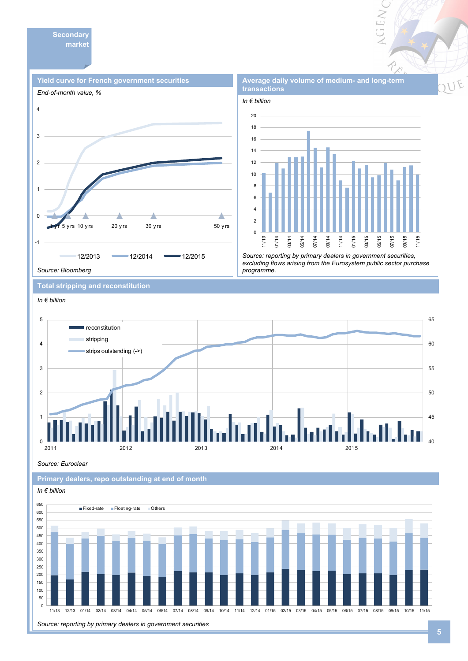**Secondary market** 

![](_page_4_Figure_1.jpeg)

![](_page_4_Figure_2.jpeg)

**Average daily volume of medium- and long-term** 

**GEN** 

*Source: reporting by primary dealers in government securities, excluding flows arising from the Eurosystem public sector purchase programme.* 

**Total stripping and reconstitution** 

![](_page_4_Figure_5.jpeg)

*Source: Euroclear*

**Primary dealers, repo outstanding at end of month** 

![](_page_4_Figure_8.jpeg)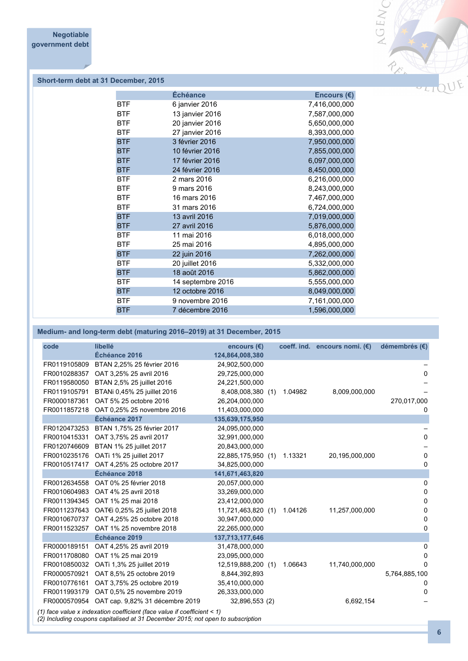![](_page_5_Picture_1.jpeg)

### **Short-term debt at 31 December, 2015**

|            | Échéance          | Encours $(E)$ |
|------------|-------------------|---------------|
| <b>BTF</b> | 6 janvier 2016    | 7,416,000,000 |
| <b>BTF</b> | 13 janvier 2016   | 7,587,000,000 |
| <b>BTF</b> | 20 janvier 2016   | 5,650,000,000 |
| <b>BTF</b> | 27 janvier 2016   | 8,393,000,000 |
| <b>BTF</b> | 3 février 2016    | 7,950,000,000 |
| <b>BTF</b> | 10 février 2016   | 7,855,000,000 |
| <b>BTF</b> | 17 février 2016   | 6,097,000,000 |
| <b>BTF</b> | 24 février 2016   | 8,450,000,000 |
| <b>BTF</b> | 2 mars 2016       | 6,216,000,000 |
| <b>BTF</b> | 9 mars 2016       | 8,243,000,000 |
| <b>BTF</b> | 16 mars 2016      | 7,467,000,000 |
| <b>BTF</b> | 31 mars 2016      | 6,724,000,000 |
| <b>BTF</b> | 13 avril 2016     | 7,019,000,000 |
| <b>BTF</b> | 27 avril 2016     | 5,876,000,000 |
| <b>BTF</b> | 11 mai 2016       | 6,018,000,000 |
| <b>BTF</b> | 25 mai 2016       | 4,895,000,000 |
| <b>BTF</b> | 22 juin 2016      | 7,262,000,000 |
| <b>BTF</b> | 20 juillet 2016   | 5,332,000,000 |
| <b>BTF</b> | 18 août 2016      | 5,862,000,000 |
| <b>BTF</b> | 14 septembre 2016 | 5,555,000,000 |
| <b>BTF</b> | 12 octobre 2016   | 8,049,000,000 |
| <b>BTF</b> | 9 novembre 2016   | 7,161,000,000 |
| <b>BTF</b> | 7 décembre 2016   | 1,596,000,000 |
|            |                   |               |

### **Medium- and long-term debt (maturing 2016–2019) at 31 December, 2015**

| code         | libellé                                                                                                                                                    | encours $(\epsilon)$ |         | coeff. ind. encours nomi. $(E)$ | démembrés (€) |
|--------------|------------------------------------------------------------------------------------------------------------------------------------------------------------|----------------------|---------|---------------------------------|---------------|
|              | Échéance 2016                                                                                                                                              | 124,864,008,380      |         |                                 |               |
| FR0119105809 | BTAN 2,25% 25 février 2016                                                                                                                                 | 24,902,500,000       |         |                                 |               |
| FR0010288357 | OAT 3,25% 25 avril 2016                                                                                                                                    | 29,725,000,000       |         |                                 | 0             |
| FR0119580050 | BTAN 2,5% 25 juillet 2016                                                                                                                                  | 24,221,500,000       |         |                                 |               |
| FR0119105791 | BTANi 0,45% 25 juillet 2016                                                                                                                                | 8,408,008,380 (1)    | 1.04982 | 8,009,000,000                   |               |
| FR0000187361 | OAT 5% 25 octobre 2016                                                                                                                                     | 26,204,000,000       |         |                                 | 270,017,000   |
| FR0011857218 | OAT 0.25% 25 novembre 2016                                                                                                                                 | 11,403,000,000       |         |                                 | 0             |
|              | Échéance 2017                                                                                                                                              | 135,639,175,950      |         |                                 |               |
| FR0120473253 | BTAN 1,75% 25 février 2017                                                                                                                                 | 24,095,000,000       |         |                                 |               |
| FR0010415331 | OAT 3,75% 25 avril 2017                                                                                                                                    | 32,991,000,000       |         |                                 | 0             |
| FR0120746609 | BTAN 1% 25 juillet 2017                                                                                                                                    | 20,843,000,000       |         |                                 |               |
| FR0010235176 | OATi 1% 25 juillet 2017                                                                                                                                    | 22,885,175,950 (1)   | 1.13321 | 20,195,000,000                  | 0             |
| FR0010517417 | OAT 4,25% 25 octobre 2017                                                                                                                                  | 34,825,000,000       |         |                                 | 0             |
|              | Échéance 2018                                                                                                                                              | 141,671,463,820      |         |                                 |               |
| FR0012634558 | OAT 0% 25 février 2018                                                                                                                                     | 20,057,000,000       |         |                                 | 0             |
| FR0010604983 | OAT 4% 25 avril 2018                                                                                                                                       | 33,269,000,000       |         |                                 | 0             |
| FR0011394345 | OAT 1% 25 mai 2018                                                                                                                                         | 23,412,000,000       |         |                                 | 0             |
| FR0011237643 | OAT€i 0,25% 25 juillet 2018                                                                                                                                | 11,721,463,820 (1)   | 1.04126 | 11,257,000,000                  | 0             |
| FR0010670737 | OAT 4,25% 25 octobre 2018                                                                                                                                  | 30,947,000,000       |         |                                 | 0             |
| FR0011523257 | OAT 1% 25 novembre 2018                                                                                                                                    | 22,265,000,000       |         |                                 | 0             |
|              | Échéance 2019                                                                                                                                              | 137,713,177,646      |         |                                 |               |
| FR0000189151 | OAT 4,25% 25 avril 2019                                                                                                                                    | 31,478,000,000       |         |                                 | 0             |
| FR0011708080 | OAT 1% 25 mai 2019                                                                                                                                         | 23,095,000,000       |         |                                 | 0             |
| FR0010850032 | OATi 1,3% 25 juillet 2019                                                                                                                                  | 12,519,888,200 (1)   | 1.06643 | 11,740,000,000                  | $\Omega$      |
| FR0000570921 | OAT 8,5% 25 octobre 2019                                                                                                                                   | 8,844,392,893        |         |                                 | 5,764,885,100 |
| FR0010776161 | OAT 3,75% 25 octobre 2019                                                                                                                                  | 35,410,000,000       |         |                                 | $\Omega$      |
| FR0011993179 | OAT 0.5% 25 novembre 2019                                                                                                                                  | 26,333,000,000       |         |                                 | 0             |
| FR0000570954 | OAT cap. 9,82% 31 décembre 2019                                                                                                                            | 32,896,553 (2)       |         | 6,692,154                       |               |
|              | (1) face value x indexation coefficient (face value if coefficient < 1)<br>(2) Including coupons capitalised at 31 December 2015; not open to subscription |                      |         |                                 |               |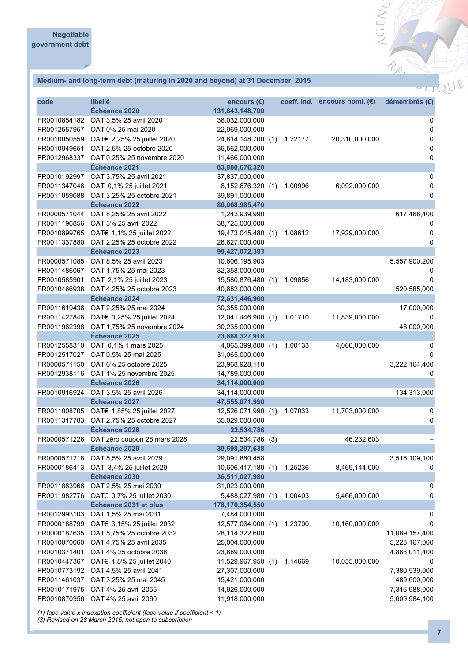### **Medium- and long-term debt (maturing in 2020 and beyond) at 31 December, 2015**

| code         | libellé<br>Échéance 2020                  | encours $(E)$      |     |         | coeff. ind. encours nomi. $(\epsilon)$ | démembrés (€)  |
|--------------|-------------------------------------------|--------------------|-----|---------|----------------------------------------|----------------|
|              | OAT 3,5% 25 avril 2020                    | 131,843,148,700    |     |         |                                        |                |
| FR0010854182 |                                           | 36,032,000,000     |     |         |                                        | 0              |
| FR0012557957 | OAT 0% 25 mai 2020                        | 22,969,000,000     |     |         |                                        | 0              |
| FR0010050559 | OAT€i 2,25% 25 juillet 2020               | 24,814,148,700 (1) |     | 1.22177 | 20,310,000,000                         | 0              |
| FR0010949651 | OAT 2,5% 25 octobre 2020                  | 36,562,000,000     |     |         |                                        | 0              |
| FR0012968337 | OAT 0,25% 25 novembre 2020                | 11,466,000,000     |     |         |                                        | $\pmb{0}$      |
|              | Échéance 2021                             | 83,880,676,320     |     |         |                                        |                |
| FR0010192997 | OAT 3,75% 25 avril 2021                   | 37,837,000,000     |     |         |                                        | $\mathsf 0$    |
| FR0011347046 | OATi 0,1% 25 juillet 2021                 | 6,152,676,320 (1)  |     | 1.00996 | 6,092,000,000                          | 0              |
| FR0011059088 | OAT 3,25% 25 octobre 2021                 | 39,891,000,000     |     |         |                                        | 0              |
|              | Échéance 2022                             | 86,068,985,470     |     |         |                                        |                |
| FR0000571044 | OAT 8,25% 25 avril 2022                   | 1,243,939,990      |     |         |                                        | 617,468,400    |
| FR0011196856 | OAT 3% 25 avril 2022                      | 38,725,000,000     |     |         |                                        | 0              |
| FR0010899765 | OAT€i 1,1% 25 juillet 2022                | 19,473,045,480 (1) |     | 1.08612 | 17,929,000,000                         | 0              |
| FR0011337880 | OAT 2,25% 25 octobre 2022                 | 26,627,000,000     |     |         |                                        | 0              |
|              | Échéance 2023                             | 99,427,072,383     |     |         |                                        |                |
| FR0000571085 | OAT 8,5% 25 avril 2023                    | 10,606,195,903     |     |         |                                        | 5,557,900,200  |
| FR0011486067 | OAT 1,75% 25 mai 2023                     | 32,358,000,000     |     |         |                                        |                |
| FR0010585901 | OATi 2,1% 25 juillet 2023                 | 15,580,876,480 (1) |     | 1.09856 | 14,183,000,000                         | 0              |
| FR0010466938 | OAT 4,25% 25 octobre 2023                 | 40,882,000,000     |     |         |                                        | 520,585,000    |
|              | Échéance 2024                             | 72,631,446,900     |     |         |                                        |                |
| FR0011619436 | OAT 2,25% 25 mai 2024                     | 30,355,000,000     |     |         |                                        | 17,000,000     |
| FR0011427848 | OAT€i 0,25% 25 juillet 2024               | 12,041,446,900 (1) |     | 1.01710 | 11,839,000,000                         |                |
| FR0011962398 | OAT 1,75% 25 novembre 2024                | 30,235,000,000     |     |         |                                        | 46,000,000     |
|              | Échéance 2025                             | 73,888,327,918     |     |         |                                        |                |
| FR0012558310 | OATi 0,1% 1 mars 2025                     | 4,065,399,800 (1)  |     | 1.00133 | 4,060,000,000                          | 0              |
| FR0012517027 | OAT 0,5% 25 mai 2025                      | 31,065,000,000     |     |         |                                        | 0              |
| FR0000571150 | OAT 6% 25 octobre 2025                    | 23,968,928,118     |     |         |                                        | 3,222,164,400  |
| FR0012938116 | OAT 1% 25 novembre 2025                   | 14,789,000,000     |     |         |                                        | 0              |
|              | Échéance 2026                             | 34,114,000,000     |     |         |                                        |                |
| FR0010916924 | OAT 3,5% 25 avril 2026                    | 34,114,000,000     |     |         |                                        | 134,313,000    |
|              | Échéance 2027                             | 47,555,071,990     |     |         |                                        |                |
| FR0011008705 | OAT€i 1,85% 25 juillet 2027               | 12,526,071,990 (1) |     | 1.07033 | 11,703,000,000                         | 0              |
|              | FR0011317783 OAT 2,75% 25 octobre 2027    | 35,029,000,000     |     |         |                                        | 0              |
|              | Échéance 2028                             | 22,534,786         |     |         |                                        |                |
|              | FR0000571226 OAT zéro coupon 28 mars 2028 | 22,534,786 (3)     |     |         | 46,232,603                             |                |
|              | Échéance 2029                             | 39,698,297,638     |     |         |                                        |                |
| FR0000571218 | OAT 5,5% 25 avril 2029                    | 29,091,880,458     |     |         |                                        | 3,515,109,100  |
| FR0000186413 | OATi 3,4% 25 juillet 2029                 | 10,606,417,180 (1) |     | 1.25236 | 8,469,144,000                          | 0              |
|              | Échéance 2030                             | 36,511,027,980     |     |         |                                        |                |
| FR0011883966 | OAT 2,5% 25 mai 2030                      | 31,023,000,000     |     |         |                                        | 0              |
| FR0011982776 | OAT€i 0,7% 25 juillet 2030                | 5,488,027,980      | (1) | 1.00403 | 5,466,000,000                          | 0              |
|              | Échéance 2031 et plus                     | 178,170,354,550    |     |         |                                        |                |
| FR0012993103 | OAT 1,5% 25 mai 2031                      | 7,484,000,000      |     |         |                                        | 0              |
| FR0000188799 | OAT€i 3,15% 25 juillet 2032               | 12,577,064,000     | (1) | 1.23790 | 10,160,000,000                         | 0              |
| FR0000187635 | OAT 5,75% 25 octobre 2032                 | 28,114,322,600     |     |         |                                        | 11,089,157,400 |
| FR0010070060 | OAT 4,75% 25 avril 2035                   | 25,004,000,000     |     |         |                                        | 5,223,167,000  |
| FR0010371401 | OAT 4% 25 octobre 2038                    | 23,889,000,000     |     |         |                                        | 4,868,011,400  |
| FR0010447367 | OAT€i 1,8% 25 juillet 2040                | 11,529,967,950     | (1) | 1.14669 | 10,055,000,000                         | 0              |
|              | FR0010773192 OAT 4,5% 25 avril 2041       | 27,307,000,000     |     |         |                                        | 7,380,539,000  |
| FR0011461037 | OAT 3,25% 25 mai 2045                     | 15,421,000,000     |     |         |                                        | 489,600,000    |
| FR0010171975 | OAT 4% 25 avril 2055                      | 14,926,000,000     |     |         |                                        | 7,316,988,000  |
| FR0010870956 | OAT 4% 25 avril 2060                      | 11,918,000,000     |     |         |                                        | 5,609,984,100  |
|              |                                           |                    |     |         |                                        |                |

*(1) face value x indexation coefficient (face value if coefficient < 1)*

*(3) Revised on 28 March 2015; not open to subscription*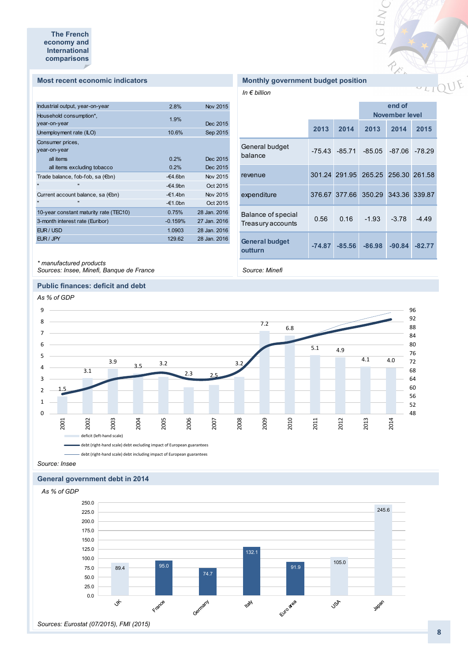#### **Most recent economic indicators**

| Industrial output, year-on-year        | 2.8%       | Nov 2015     |
|----------------------------------------|------------|--------------|
| Household consumption*,                |            |              |
| year-on-year                           | 1.9%       | Dec 2015     |
|                                        |            |              |
| Unemployment rate (ILO)                | 10.6%      | Sep 2015     |
| Consumer prices,                       |            |              |
| year-on-year                           |            |              |
| all items                              | 0.2%       | Dec 2015     |
| all items excluding tobacco            | 0.2%       | Dec 2015     |
| Trade balance, fob-fob, sa (€bn)       | $-64.6$ bn | Nov 2015     |
| $\mathbf{u}$<br>$\blacksquare$         | $-64.9$ bn | Oct 2015     |
| Current account balance, sa (€bn)      | $-€1.4bn$  | Nov 2015     |
| $\mathbf{u}$<br>$\blacksquare$         | $-£1.0bn$  | Oct 2015     |
| 10-year constant maturity rate (TEC10) | 0.75%      | 28 Jan. 2016 |
| 3-month interest rate (Euribor)        | $-0.159%$  | 27 Jan. 2016 |
| EUR / USD                              | 1.0903     | 28 Jan. 2016 |
| EUR / JPY                              | 129.62     | 28 Jan. 2016 |
|                                        |            |              |

### *\* manufactured products*

*Sources: Insee, Minefi, Banque de France*

#### **Public finances: deficit and debt**

#### *As % of GDP* 9 96  $\overline{a}$ 92 8 7.2 88 6.8 7 84 80 6 5.1 4.9 76 5 4.1 4.0 3.9 72 3.5 3.2 3.2 4 68 3.1  $2.3$   $2.5$ 3 64 60 2 1.5 56 1 52 0 48 2001 2002 2003 2004 2005 2006 2007 2008 2009 2010 2011 2012 2013 2014 deficit (left-hand scale) debt (right-hand scale) debt excluding impact of European guarantees

debt (right-hand scale) debt including impact of European guarantees

## *Source: Insee*

### **General government debt in 2014**

![](_page_7_Figure_10.jpeg)

### **Monthly government budget position**

*In € billion*

|                                         | end of<br>November level |                  |                                    |          |          |
|-----------------------------------------|--------------------------|------------------|------------------------------------|----------|----------|
|                                         | 2013                     | 2014             | 2013                               | 2014     | 2015     |
| General budget<br>balance               |                          | $-75.43 - 85.71$ | $-85.05$                           | $-87.06$ | $-78.29$ |
| revenue                                 |                          |                  | 301.24 291.95 265.25 256.30 261.58 |          |          |
| expenditure                             |                          |                  | 376.67 377.66 350.29 343.36 339.87 |          |          |
| Balance of special<br>Treasury accounts | 0.56                     | 0.16             | $-1.93$                            | $-3.78$  | $-4.49$  |
| <b>General budget</b><br>outturn        | $-74.87$                 | $-85.56$         | $-86.98$                           | $-90.84$ | $-82.77$ |

AGENC

P. S.

*Source: Minefi*